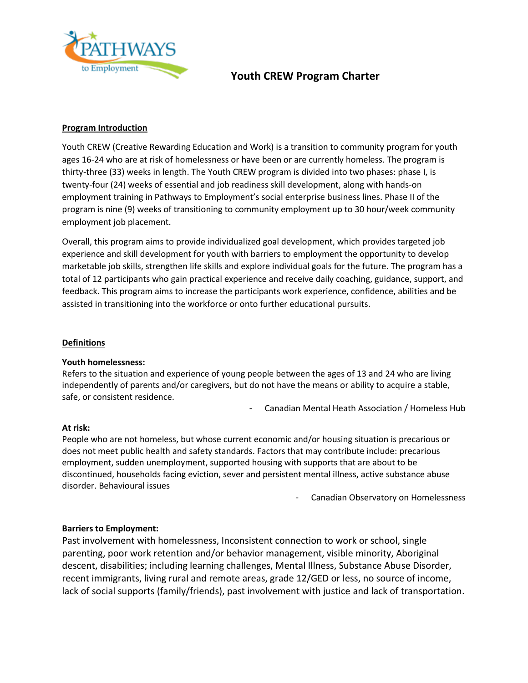

#### **Program Introduction**

Youth CREW (Creative Rewarding Education and Work) is a transition to community program for youth ages 16-24 who are at risk of homelessness or have been or are currently homeless. The program is thirty-three (33) weeks in length. The Youth CREW program is divided into two phases: phase I, is twenty-four (24) weeks of essential and job readiness skill development, along with hands-on employment training in Pathways to Employment's social enterprise business lines. Phase II of the program is nine (9) weeks of transitioning to community employment up to 30 hour/week community employment job placement.

Overall, this program aims to provide individualized goal development, which provides targeted job experience and skill development for youth with barriers to employment the opportunity to develop marketable job skills, strengthen life skills and explore individual goals for the future. The program has a total of 12 participants who gain practical experience and receive daily coaching, guidance, support, and feedback. This program aims to increase the participants work experience, confidence, abilities and be assisted in transitioning into the workforce or onto further educational pursuits.

#### **Definitions**

#### **Youth homelessness:**

Refers to the situation and experience of young people between the ages of 13 and 24 who are living independently of parents and/or caregivers, but do not have the means or ability to acquire a stable, safe, or consistent residence.

Canadian Mental Heath Association / Homeless Hub

#### **At risk:**

People who are not homeless, but whose current economic and/or housing situation is precarious or does not meet public health and safety standards. Factors that may contribute include: precarious employment, sudden unemployment, supported housing with supports that are about to be discontinued, households facing eviction, sever and persistent mental illness, active substance abuse disorder. Behavioural issues

Canadian Observatory on Homelessness

#### **Barriers to Employment:**

Past involvement with homelessness, Inconsistent connection to work or school, single parenting, poor work retention and/or behavior management, visible minority, Aboriginal descent, disabilities; including learning challenges, Mental Illness, Substance Abuse Disorder, recent immigrants, living rural and remote areas, grade 12/GED or less, no source of income, lack of social supports (family/friends), past involvement with justice and lack of transportation.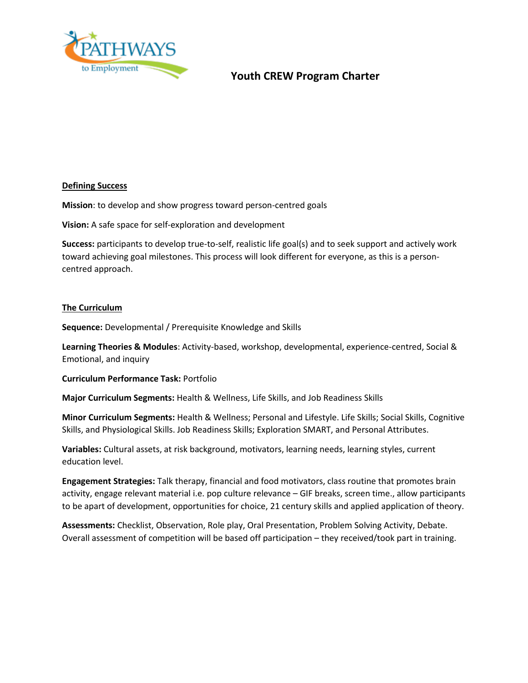

#### **Defining Success**

**Mission**: to develop and show progress toward person-centred goals

**Vision:** A safe space for self-exploration and development

**Success:** participants to develop true-to-self, realistic life goal(s) and to seek support and actively work toward achieving goal milestones. This process will look different for everyone, as this is a personcentred approach.

#### **The Curriculum**

**Sequence:** Developmental / Prerequisite Knowledge and Skills

**Learning Theories & Modules**: Activity-based, workshop, developmental, experience-centred, Social & Emotional, and inquiry

**Curriculum Performance Task:** Portfolio

**Major Curriculum Segments:** Health & Wellness, Life Skills, and Job Readiness Skills

**Minor Curriculum Segments:** Health & Wellness; Personal and Lifestyle. Life Skills; Social Skills, Cognitive Skills, and Physiological Skills. Job Readiness Skills; Exploration SMART, and Personal Attributes.

**Variables:** Cultural assets, at risk background, motivators, learning needs, learning styles, current education level.

**Engagement Strategies:** Talk therapy, financial and food motivators, class routine that promotes brain activity, engage relevant material i.e. pop culture relevance – GIF breaks, screen time., allow participants to be apart of development, opportunities for choice, 21 century skills and applied application of theory.

**Assessments:** Checklist, Observation, Role play, Oral Presentation, Problem Solving Activity, Debate. Overall assessment of competition will be based off participation – they received/took part in training.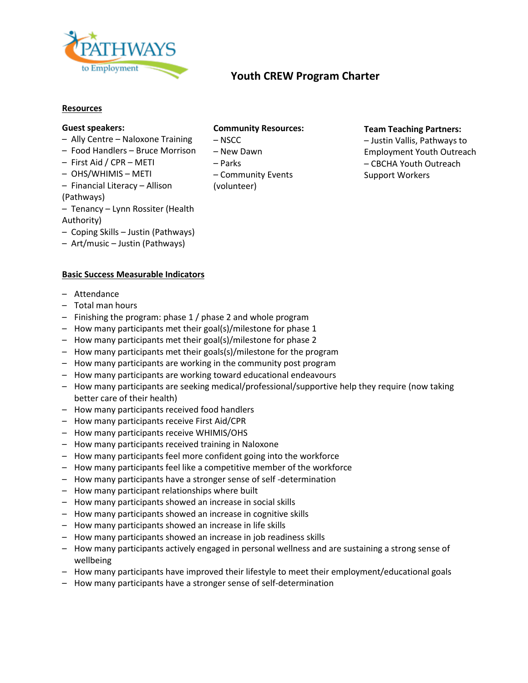

#### **Resources**

#### **Guest speakers:**

- Ally Centre Naloxone Training
- Food Handlers Bruce Morrison
- First Aid / CPR METI
- OHS/WHIMIS METI
- Financial Literacy Allison (Pathways)
- Tenancy Lynn Rossiter (Health Authority)
- Coping Skills Justin (Pathways)
- Art/music Justin (Pathways)

## **Community Resources:**

- NSCC
- New Dawn
- Parks
	- Community Events
- (volunteer)

#### **Team Teaching Partners:**

– Justin Vallis, Pathways to Employment Youth Outreach – CBCHA Youth Outreach Support Workers

#### **Basic Success Measurable Indicators**

- Attendance
- Total man hours
- Finishing the program: phase 1 / phase 2 and whole program
- How many participants met their goal(s)/milestone for phase 1
- How many participants met their goal(s)/milestone for phase 2
- How many participants met their goals(s)/milestone for the program
- How many participants are working in the community post program
- How many participants are working toward educational endeavours
- How many participants are seeking medical/professional/supportive help they require (now taking better care of their health)
- How many participants received food handlers
- How many participants receive First Aid/CPR
- How many participants receive WHIMIS/OHS
- How many participants received training in Naloxone
- How many participants feel more confident going into the workforce
- How many participants feel like a competitive member of the workforce
- How many participants have a stronger sense of self -determination
- How many participant relationships where built
- How many participants showed an increase in social skills
- How many participants showed an increase in cognitive skills
- How many participants showed an increase in life skills
- How many participants showed an increase in job readiness skills
- How many participants actively engaged in personal wellness and are sustaining a strong sense of wellbeing
- How many participants have improved their lifestyle to meet their employment/educational goals
- How many participants have a stronger sense of self-determination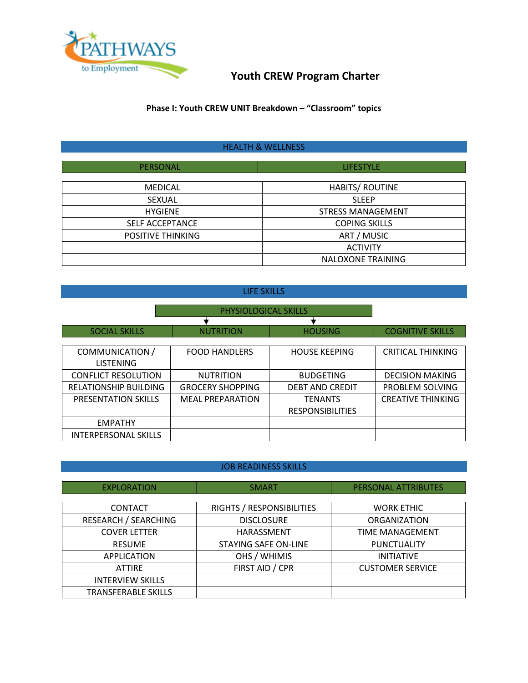

**Phase I: Youth CREW UNIT Breakdown – "Classroom" topics**

## HEALTH & WELLNESS

| <b>PERSONAL</b>          | <b>LIFESTYLE</b>         |
|--------------------------|--------------------------|
|                          |                          |
| <b>MEDICAL</b>           | <b>HABITS/ ROUTINE</b>   |
| <b>SEXUAL</b>            | <b>SLEEP</b>             |
| <b>HYGIENE</b>           | <b>STRESS MANAGEMENT</b> |
| <b>SELF ACCEPTANCE</b>   | <b>COPING SKILLS</b>     |
| <b>POSITIVE THINKING</b> | ART / MUSIC              |
|                          | <b>ACTIVITY</b>          |
|                          | <b>NALOXONE TRAINING</b> |

## LIFE SKILLS

| <b>PHYSIOLOGICAL SKILLS</b>  |                         |                         |                          |
|------------------------------|-------------------------|-------------------------|--------------------------|
|                              |                         |                         |                          |
| <b>SOCIAL SKILLS</b>         | <b>NUTRITION</b>        | <b>HOUSING</b>          | <b>COGNITIVE SKILLS</b>  |
|                              |                         |                         |                          |
| COMMUNICATION /              | <b>FOOD HANDLERS</b>    | <b>HOUSE KEEPING</b>    | <b>CRITICAL THINKING</b> |
| <b>LISTENING</b>             |                         |                         |                          |
| <b>CONFLICT RESOLUTION</b>   | <b>NUTRITION</b>        | <b>BUDGETING</b>        | <b>DECISION MAKING</b>   |
| <b>RELATIONSHIP BUILDING</b> | <b>GROCERY SHOPPING</b> | <b>DEBT AND CREDIT</b>  | PROBLEM SOLVING          |
| <b>PRESENTATION SKILLS</b>   | <b>MEAL PREPARATION</b> | <b>TENANTS</b>          | <b>CREATIVE THINKING</b> |
|                              |                         | <b>RESPONSIBILITIES</b> |                          |
| <b>EMPATHY</b>               |                         |                         |                          |
| <b>INTERPERSONAL SKILLS</b>  |                         |                         |                          |

## JOB READINESS SKILLS

| <b>EXPLORATION</b>          | <b>SMART</b>              | <b>PERSONAL ATTRIBUTES</b> |
|-----------------------------|---------------------------|----------------------------|
|                             |                           |                            |
| <b>CONTACT</b>              | RIGHTS / RESPONSIBILITIES | <b>WORK ETHIC</b>          |
| <b>RESEARCH / SEARCHING</b> | <b>DISCLOSURE</b>         | <b>ORGANIZATION</b>        |
| <b>COVER LETTER</b>         | HARASSMENT                | <b>TIME MANAGEMENT</b>     |
| <b>RESUME</b>               | STAYING SAFE ON-LINE      | PUNCTUALITY                |
| APPLICATION                 | OHS / WHIMIS              | <b>INITIATIVE</b>          |
| <b>ATTIRE</b>               | FIRST AID / CPR           | <b>CUSTOMER SERVICE</b>    |
| <b>INTERVIEW SKILLS</b>     |                           |                            |
| <b>TRANSFERABLE SKILLS</b>  |                           |                            |